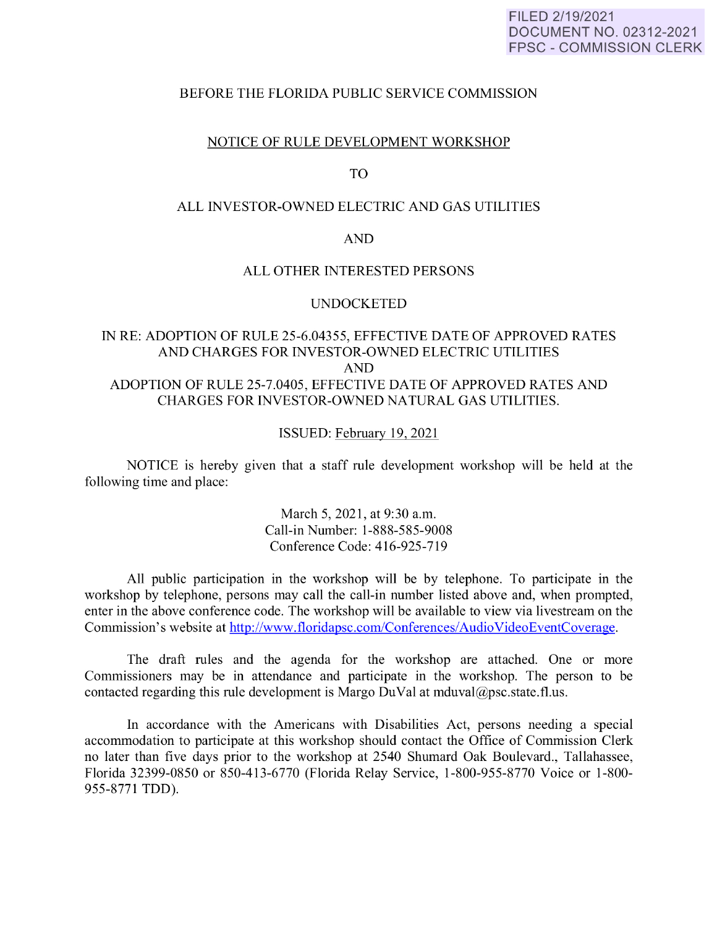#### FILED 2/19/2021 DOCUMENT NO. 02312-2021 FPSC - COMMISSION CLERK

## BEFORE THE FLORIDA PUBLIC SERVICE COMMISSION

## NOTICE OF RULE DEVELOPMENT WORKSHOP

## TO

# ALL INVESTOR-OWNED ELECTRIC AND GAS UTILITIES

#### AND

## ALL OTHER INTERESTED PERSONS

#### **UNDOCKETED**

# IN RE: ADOPTION OF RULE 25-6.04355, EFFECTIVE DATE OF APPROVED RATES AND CHARGES FOR INVESTOR-OWNED ELECTRIC UTILITIES AND ADOPTION OF RULE 25-7.0405, EFFECTIVE DATE OF APPROVED RATES AND CHARGES FOR INVESTOR-OWNED NATURAL GAS UTILITIES.

#### ISSUED: February 19, 2021

NOTICE is hereby given that a staff rule development workshop will be held at the following time and place:

> March 5, 2021, at 9:30 a.m. Call-in Number: 1-888-585-9008 Conference Code: 416-925-719

All public participation in the workshop will be by telephone. To participate in the workshop by telephone, persons may call the call-in number listed above and, when prompted, enter in the above conference code. The workshop will be available to view via livestream on the Commission's website at http://www.floridapsc.com/Conferences/ Audio VideoEventCoverage.

The draft rules and the agenda for the workshop are attached. One or more Commissioners may be in attendance and participate in the workshop. The person to be contacted regarding this rule development is Margo DuVal at mduval@psc.state.fl.us.

In accordance with the Americans with Disabilities Act, persons needing a special accommodation to participate at this workshop should contact the Office of Commission Clerk no later than five days prior to the workshop at 2540 Shumard Oak Boulevard., Tallahassee, Florida 32399-0850 or 850-413-6770 (Florida Relay Service, 1-800-955-8770 Voice or 1-800- 955-8771 TDD).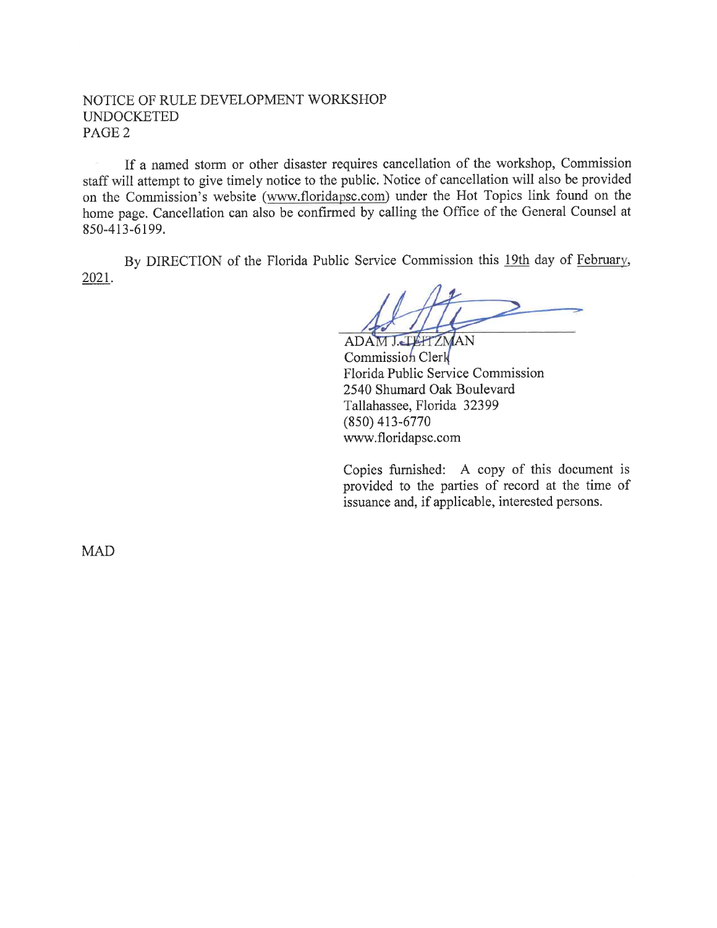# NOTICE OF RULE DEVELOPMENT WORKSHOP UNDOCKETED PAGE2

If a named storm or other disaster requires cancellation of the workshop, Commission staff will attempt to give timely notice to the public. Notice of cancellation will also be provided on the Commission's website (www.floridapsc.com) under the Hot Topics link found on the home page. Cancellation can also be confirmed by calling the Office of the General Counsel at 850-413-6199.

2021. By DIRECTION of the Florida Public Service Commission this 19th day of Februarv,

ADAM J. TEHTZMAN Commission Clerk Florida Public Service Commission 2540 Shumard Oak Boulevard Tallahassee, Florida 32399 (850) 413-6770 www.floridapsc.com

Copies furnished: A copy of this document is provided to the parties of record at the time of issuance and, if applicable, interested persons.

MAD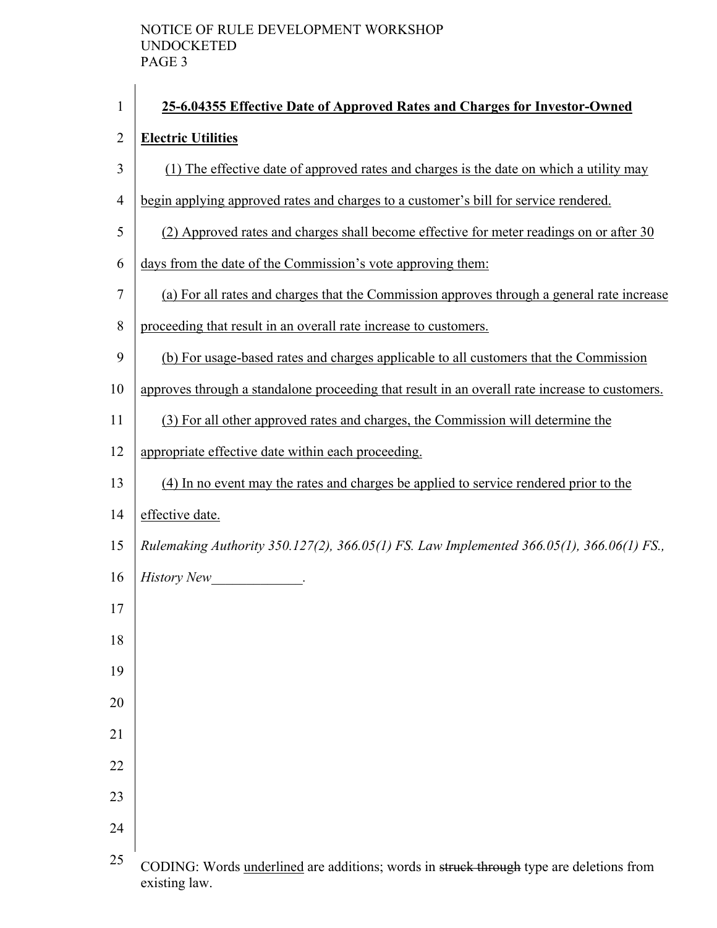| $\mathbf{1}$   | 25-6.04355 Effective Date of Approved Rates and Charges for Investor-Owned                     |
|----------------|------------------------------------------------------------------------------------------------|
| $\overline{2}$ | <b>Electric Utilities</b>                                                                      |
| 3              | (1) The effective date of approved rates and charges is the date on which a utility may        |
| $\overline{4}$ | begin applying approved rates and charges to a customer's bill for service rendered.           |
| 5              | (2) Approved rates and charges shall become effective for meter readings on or after 30        |
| 6              | days from the date of the Commission's vote approving them:                                    |
| $\tau$         | (a) For all rates and charges that the Commission approves through a general rate increase     |
| 8              | proceeding that result in an overall rate increase to customers.                               |
| 9              | (b) For usage-based rates and charges applicable to all customers that the Commission          |
| 10             | approves through a standalone proceeding that result in an overall rate increase to customers. |
| 11             | (3) For all other approved rates and charges, the Commission will determine the                |
| 12             | appropriate effective date within each proceeding.                                             |
| 13             | (4) In no event may the rates and charges be applied to service rendered prior to the          |
| 14             | effective date.                                                                                |
| 15             | Rulemaking Authority 350.127(2), 366.05(1) FS. Law Implemented 366.05(1), 366.06(1) FS.,       |
| 16             | <b>History New</b><br><u> 1990 - Johann Barbara</u>                                            |
| 17             |                                                                                                |
| 18             |                                                                                                |
| 19             |                                                                                                |
| 20             |                                                                                                |
| 21             |                                                                                                |
| 22             |                                                                                                |
| 23             |                                                                                                |
| 24             |                                                                                                |
| 25             | CODING: Words underlined are additions; words in struck through type are deletions from        |

existing law.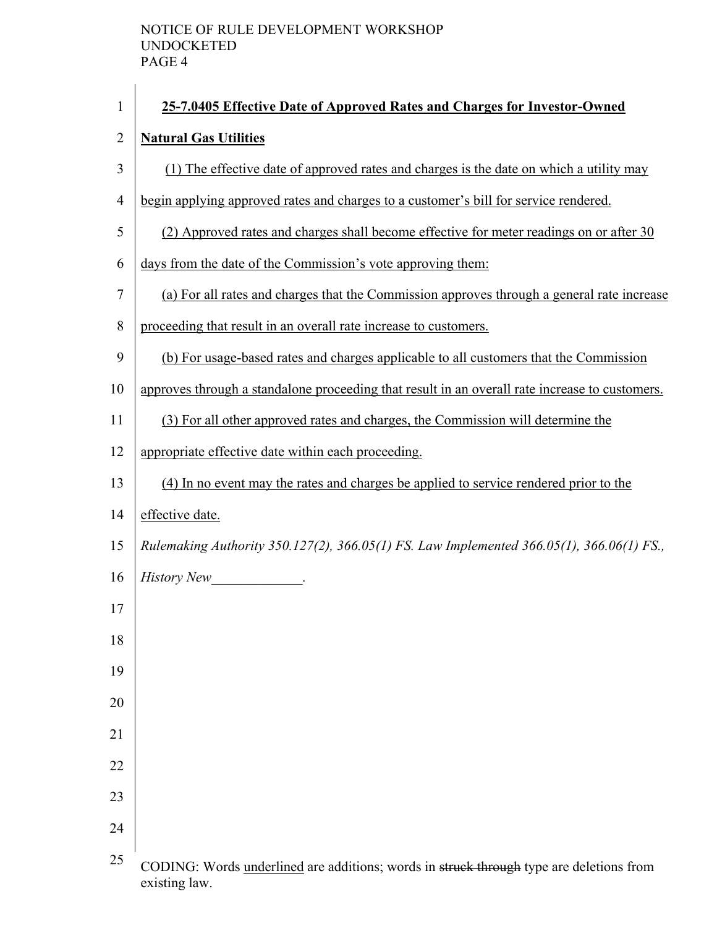| $\mathbf{1}$   | 25-7.0405 Effective Date of Approved Rates and Charges for Investor-Owned                      |
|----------------|------------------------------------------------------------------------------------------------|
| $\overline{2}$ | <b>Natural Gas Utilities</b>                                                                   |
| 3              | (1) The effective date of approved rates and charges is the date on which a utility may        |
| $\overline{4}$ | begin applying approved rates and charges to a customer's bill for service rendered.           |
| 5              | (2) Approved rates and charges shall become effective for meter readings on or after 30        |
| 6              | days from the date of the Commission's vote approving them:                                    |
| 7              | (a) For all rates and charges that the Commission approves through a general rate increase     |
| 8              | proceeding that result in an overall rate increase to customers.                               |
| 9              | (b) For usage-based rates and charges applicable to all customers that the Commission          |
| 10             | approves through a standalone proceeding that result in an overall rate increase to customers. |
| 11             | (3) For all other approved rates and charges, the Commission will determine the                |
| 12             | appropriate effective date within each proceeding.                                             |
| 13             | (4) In no event may the rates and charges be applied to service rendered prior to the          |
| 14             | effective date.                                                                                |
| 15             | Rulemaking Authority 350.127(2), 366.05(1) FS. Law Implemented 366.05(1), 366.06(1) FS.,       |
| 16             | <b>History New</b><br><u>and the state of the state</u>                                        |
| 17             |                                                                                                |
| 18             |                                                                                                |
| 19             |                                                                                                |
| 20             |                                                                                                |
| 21             |                                                                                                |
| 22             |                                                                                                |
| 23             |                                                                                                |
| 24             |                                                                                                |
| 25             | CODING: Words underlined are additions; words in struck through type are deletions from        |

existing law.